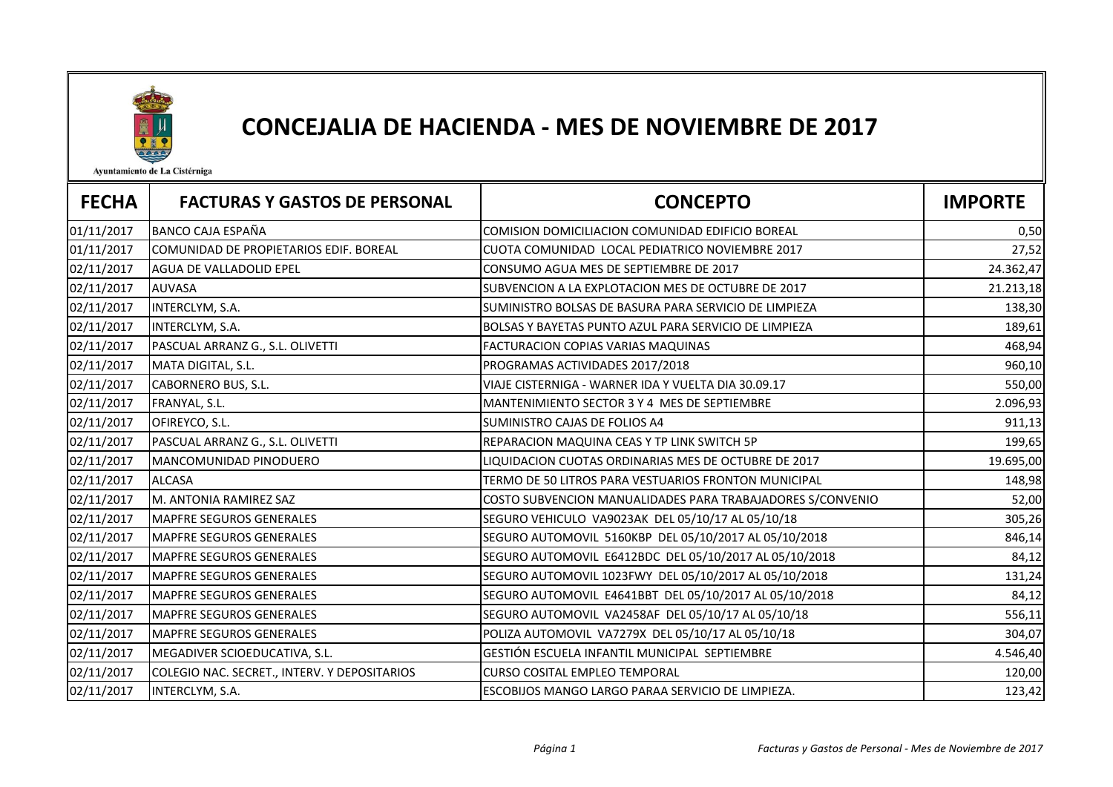

## CONCEJALIA DE HACIENDA - MES DE NOVIEMBRE DE 2017

Ayuntamiento de La Cistérniga

| <b>FECHA</b> | <b>FACTURAS Y GASTOS DE PERSONAL</b>         | <b>CONCEPTO</b>                                            | <b>IMPORTE</b> |
|--------------|----------------------------------------------|------------------------------------------------------------|----------------|
| 01/11/2017   | <b>BANCO CAJA ESPAÑA</b>                     | COMISION DOMICILIACION COMUNIDAD EDIFICIO BOREAL           | 0,50           |
| 01/11/2017   | COMUNIDAD DE PROPIETARIOS EDIF. BOREAL       | CUOTA COMUNIDAD LOCAL PEDIATRICO NOVIEMBRE 2017            | 27,52          |
| 02/11/2017   | AGUA DE VALLADOLID EPEL                      | CONSUMO AGUA MES DE SEPTIEMBRE DE 2017                     | 24.362,47      |
| 02/11/2017   | <b>AUVASA</b>                                | SUBVENCION A LA EXPLOTACION MES DE OCTUBRE DE 2017         | 21.213,18      |
| 02/11/2017   | INTERCLYM, S.A.                              | SUMINISTRO BOLSAS DE BASURA PARA SERVICIO DE LIMPIEZA      | 138,30         |
| 02/11/2017   | INTERCLYM, S.A.                              | BOLSAS Y BAYETAS PUNTO AZUL PARA SERVICIO DE LIMPIEZA      | 189,61         |
| 02/11/2017   | PASCUAL ARRANZ G., S.L. OLIVETTI             | FACTURACION COPIAS VARIAS MAQUINAS                         | 468,94         |
| 02/11/2017   | MATA DIGITAL, S.L.                           | PROGRAMAS ACTIVIDADES 2017/2018                            | 960,10         |
| 02/11/2017   | CABORNERO BUS, S.L.                          | VIAJE CISTERNIGA - WARNER IDA Y VUELTA DIA 30.09.17        | 550,00         |
| 02/11/2017   | FRANYAL, S.L.                                | MANTENIMIENTO SECTOR 3 Y 4 MES DE SEPTIEMBRE               | 2.096,93       |
| 02/11/2017   | OFIREYCO, S.L.                               | SUMINISTRO CAJAS DE FOLIOS A4                              | 911,13         |
| 02/11/2017   | PASCUAL ARRANZ G., S.L. OLIVETTI             | REPARACION MAQUINA CEAS Y TP LINK SWITCH 5P                | 199,65         |
| 02/11/2017   | MANCOMUNIDAD PINODUERO                       | LIQUIDACION CUOTAS ORDINARIAS MES DE OCTUBRE DE 2017       | 19.695,00      |
| 02/11/2017   | <b>ALCASA</b>                                | TERMO DE 50 LITROS PARA VESTUARIOS FRONTON MUNICIPAL       | 148,98         |
| 02/11/2017   | M. ANTONIA RAMIREZ SAZ                       | COSTO SUBVENCION MANUALIDADES PARA TRABAJADORES S/CONVENIO | 52,00          |
| 02/11/2017   | <b>MAPFRE SEGUROS GENERALES</b>              | SEGURO VEHICULO VA9023AK DEL 05/10/17 AL 05/10/18          | 305,26         |
| 02/11/2017   | <b>MAPFRE SEGUROS GENERALES</b>              | SEGURO AUTOMOVIL 5160KBP DEL 05/10/2017 AL 05/10/2018      | 846,14         |
| 02/11/2017   | <b>MAPFRE SEGUROS GENERALES</b>              | SEGURO AUTOMOVIL E6412BDC DEL 05/10/2017 AL 05/10/2018     | 84,12          |
| 02/11/2017   | <b>MAPFRE SEGUROS GENERALES</b>              | SEGURO AUTOMOVIL 1023FWY DEL 05/10/2017 AL 05/10/2018      | 131,24         |
| 02/11/2017   | <b>MAPFRE SEGUROS GENERALES</b>              | SEGURO AUTOMOVIL E4641BBT DEL 05/10/2017 AL 05/10/2018     | 84,12          |
| 02/11/2017   | <b>MAPFRE SEGUROS GENERALES</b>              | SEGURO AUTOMOVIL VA2458AF DEL 05/10/17 AL 05/10/18         | 556,11         |
| 02/11/2017   | <b>MAPFRE SEGUROS GENERALES</b>              | POLIZA AUTOMOVIL VA7279X DEL 05/10/17 AL 05/10/18          | 304,07         |
| 02/11/2017   | MEGADIVER SCIOEDUCATIVA, S.L.                | GESTIÓN ESCUELA INFANTIL MUNICIPAL SEPTIEMBRE              | 4.546,40       |
| 02/11/2017   | COLEGIO NAC. SECRET., INTERV. Y DEPOSITARIOS | <b>CURSO COSITAL EMPLEO TEMPORAL</b>                       | 120,00         |
| 02/11/2017   | INTERCLYM, S.A.                              | ESCOBIJOS MANGO LARGO PARAA SERVICIO DE LIMPIEZA.          | 123,42         |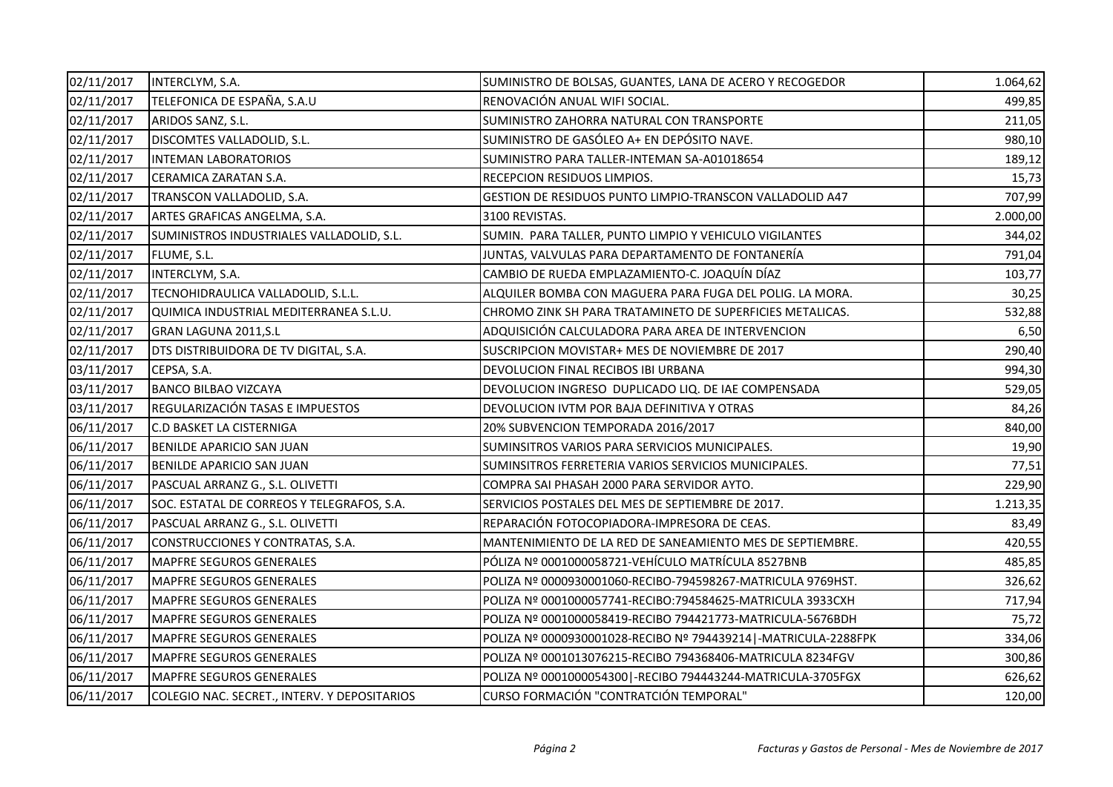| 02/11/2017 | INTERCLYM, S.A.                              | SUMINISTRO DE BOLSAS, GUANTES, LANA DE ACERO Y RECOGEDOR          | 1.064,62 |
|------------|----------------------------------------------|-------------------------------------------------------------------|----------|
| 02/11/2017 | TELEFONICA DE ESPAÑA, S.A.U                  | RENOVACIÓN ANUAL WIFI SOCIAL.                                     | 499,85   |
| 02/11/2017 | ARIDOS SANZ, S.L.                            | SUMINISTRO ZAHORRA NATURAL CON TRANSPORTE                         | 211,05   |
| 02/11/2017 | DISCOMTES VALLADOLID, S.L.                   | SUMINISTRO DE GASÓLEO A+ EN DEPÓSITO NAVE.                        | 980,10   |
| 02/11/2017 | <b>INTEMAN LABORATORIOS</b>                  | SUMINISTRO PARA TALLER-INTEMAN SA-A01018654                       | 189,12   |
| 02/11/2017 | CERAMICA ZARATAN S.A.                        | RECEPCION RESIDUOS LIMPIOS.                                       | 15,73    |
| 02/11/2017 | TRANSCON VALLADOLID, S.A.                    | GESTION DE RESIDUOS PUNTO LIMPIO-TRANSCON VALLADOLID A47          | 707,99   |
| 02/11/2017 | ARTES GRAFICAS ANGELMA, S.A.                 | 3100 REVISTAS.                                                    | 2.000,00 |
| 02/11/2017 | SUMINISTROS INDUSTRIALES VALLADOLID, S.L.    | SUMIN. PARA TALLER, PUNTO LIMPIO Y VEHICULO VIGILANTES            | 344,02   |
| 02/11/2017 | FLUME, S.L.                                  | JUNTAS, VALVULAS PARA DEPARTAMENTO DE FONTANERÍA                  | 791,04   |
| 02/11/2017 | INTERCLYM, S.A.                              | CAMBIO DE RUEDA EMPLAZAMIENTO-C. JOAQUÍN DÍAZ                     | 103,77   |
| 02/11/2017 | TECNOHIDRAULICA VALLADOLID, S.L.L.           | ALQUILER BOMBA CON MAGUERA PARA FUGA DEL POLIG. LA MORA.          | 30,25    |
| 02/11/2017 | QUIMICA INDUSTRIAL MEDITERRANEA S.L.U.       | CHROMO ZINK SH PARA TRATAMINETO DE SUPERFICIES METALICAS.         | 532,88   |
| 02/11/2017 | GRAN LAGUNA 2011, S.L                        | ADQUISICIÓN CALCULADORA PARA AREA DE INTERVENCION                 | 6,50     |
| 02/11/2017 | DTS DISTRIBUIDORA DE TV DIGITAL, S.A.        | SUSCRIPCION MOVISTAR+ MES DE NOVIEMBRE DE 2017                    | 290,40   |
| 03/11/2017 | CEPSA, S.A.                                  | DEVOLUCION FINAL RECIBOS IBI URBANA                               | 994,30   |
| 03/11/2017 | <b>BANCO BILBAO VIZCAYA</b>                  | DEVOLUCION INGRESO DUPLICADO LIQ. DE IAE COMPENSADA               | 529,05   |
| 03/11/2017 | REGULARIZACIÓN TASAS E IMPUESTOS             | DEVOLUCION IVTM POR BAJA DEFINITIVA Y OTRAS                       | 84,26    |
| 06/11/2017 | <b>C.D BASKET LA CISTERNIGA</b>              | 20% SUBVENCION TEMPORADA 2016/2017                                | 840,00   |
| 06/11/2017 | BENILDE APARICIO SAN JUAN                    | SUMINSITROS VARIOS PARA SERVICIOS MUNICIPALES.                    | 19,90    |
| 06/11/2017 | BENILDE APARICIO SAN JUAN                    | SUMINSITROS FERRETERIA VARIOS SERVICIOS MUNICIPALES.              | 77,51    |
| 06/11/2017 | PASCUAL ARRANZ G., S.L. OLIVETTI             | COMPRA SAI PHASAH 2000 PARA SERVIDOR AYTO.                        | 229,90   |
| 06/11/2017 | SOC. ESTATAL DE CORREOS Y TELEGRAFOS, S.A.   | SERVICIOS POSTALES DEL MES DE SEPTIEMBRE DE 2017.                 | 1.213,35 |
| 06/11/2017 | PASCUAL ARRANZ G., S.L. OLIVETTI             | REPARACIÓN FOTOCOPIADORA-IMPRESORA DE CEAS.                       | 83,49    |
| 06/11/2017 | CONSTRUCCIONES Y CONTRATAS, S.A.             | MANTENIMIENTO DE LA RED DE SANEAMIENTO MES DE SEPTIEMBRE.         | 420,55   |
| 06/11/2017 | MAPFRE SEGUROS GENERALES                     | PÓLIZA Nº 0001000058721-VEHÍCULO MATRÍCULA 8527BNB                | 485,85   |
| 06/11/2017 | MAPFRE SEGUROS GENERALES                     | POLIZA Nº 0000930001060-RECIBO-794598267-MATRICULA 9769HST.       | 326,62   |
| 06/11/2017 | MAPFRE SEGUROS GENERALES                     | POLIZA Nº 0001000057741-RECIBO:794584625-MATRICULA 3933CXH        | 717,94   |
| 06/11/2017 | <b>MAPFRE SEGUROS GENERALES</b>              | POLIZA Nº 0001000058419-RECIBO 794421773-MATRICULA-5676BDH        | 75,72    |
| 06/11/2017 | MAPFRE SEGUROS GENERALES                     | POLIZA Nº 0000930001028-RECIBO Nº 794439214   - MATRICULA-2288FPK | 334,06   |
| 06/11/2017 | MAPFRE SEGUROS GENERALES                     | POLIZA Nº 0001013076215-RECIBO 794368406-MATRICULA 8234FGV        | 300,86   |
| 06/11/2017 | <b>MAPFRE SEGUROS GENERALES</b>              | POLIZA Nº 0001000054300   - RECIBO 794443244-MATRICULA-3705FGX    | 626,62   |
| 06/11/2017 | COLEGIO NAC. SECRET., INTERV. Y DEPOSITARIOS | CURSO FORMACIÓN "CONTRATCIÓN TEMPORAL"                            | 120,00   |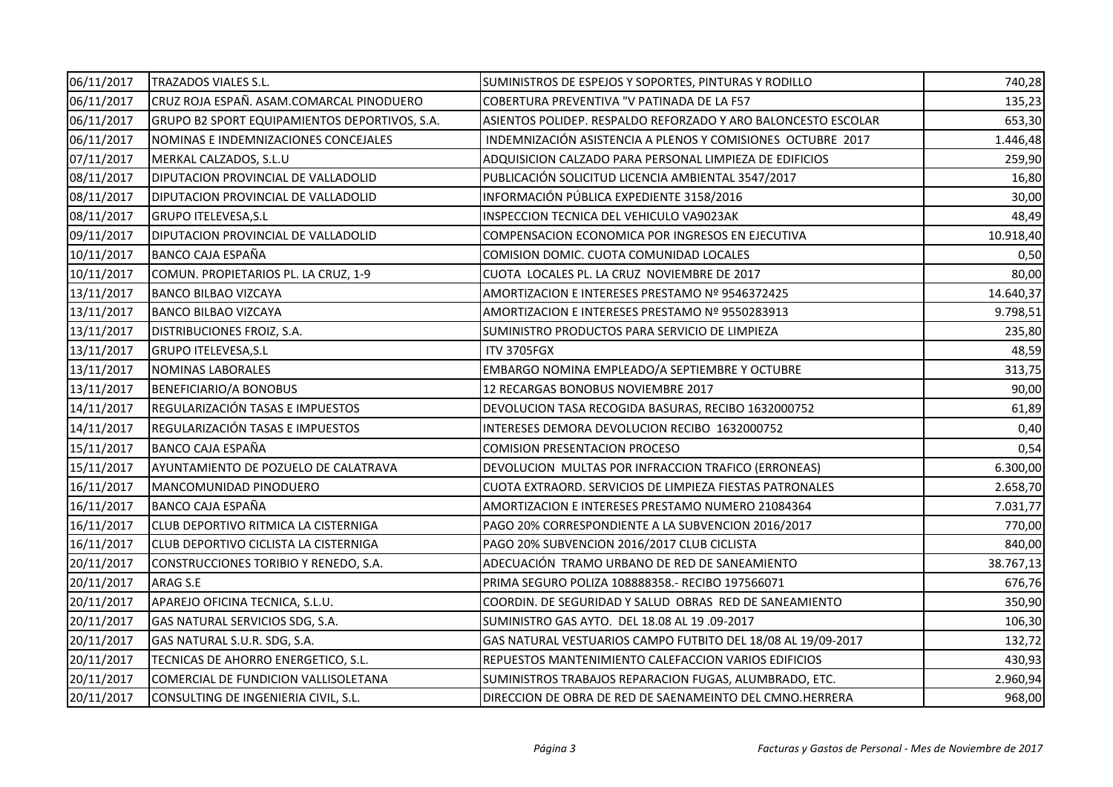| 06/11/2017 | <b>TRAZADOS VIALES S.L.</b>                   | SUMINISTROS DE ESPEJOS Y SOPORTES, PINTURAS Y RODILLO         | 740,28    |
|------------|-----------------------------------------------|---------------------------------------------------------------|-----------|
| 06/11/2017 | CRUZ ROJA ESPAÑ. ASAM.COMARCAL PINODUERO      | COBERTURA PREVENTIVA "V PATINADA DE LA F57                    | 135,23    |
| 06/11/2017 | GRUPO B2 SPORT EQUIPAMIENTOS DEPORTIVOS, S.A. | ASIENTOS POLIDEP. RESPALDO REFORZADO Y ARO BALONCESTO ESCOLAR | 653,30    |
| 06/11/2017 | NOMINAS E INDEMNIZACIONES CONCEJALES          | INDEMNIZACIÓN ASISTENCIA A PLENOS Y COMISIONES OCTUBRE 2017   | 1.446,48  |
| 07/11/2017 | MERKAL CALZADOS, S.L.U                        | ADQUISICION CALZADO PARA PERSONAL LIMPIEZA DE EDIFICIOS       | 259,90    |
| 08/11/2017 | DIPUTACION PROVINCIAL DE VALLADOLID           | PUBLICACIÓN SOLICITUD LICENCIA AMBIENTAL 3547/2017            | 16,80     |
| 08/11/2017 | <b>DIPUTACION PROVINCIAL DE VALLADOLID</b>    | INFORMACIÓN PÚBLICA EXPEDIENTE 3158/2016                      | 30,00     |
| 08/11/2017 | <b>GRUPO ITELEVESA, S.L</b>                   | INSPECCION TECNICA DEL VEHICULO VA9023AK                      | 48,49     |
| 09/11/2017 | DIPUTACION PROVINCIAL DE VALLADOLID           | COMPENSACION ECONOMICA POR INGRESOS EN EJECUTIVA              | 10.918,40 |
| 10/11/2017 | <b>BANCO CAJA ESPAÑA</b>                      | COMISION DOMIC. CUOTA COMUNIDAD LOCALES                       | 0,50      |
| 10/11/2017 | COMUN. PROPIETARIOS PL. LA CRUZ, 1-9          | CUOTA LOCALES PL. LA CRUZ NOVIEMBRE DE 2017                   | 80,00     |
| 13/11/2017 | <b>BANCO BILBAO VIZCAYA</b>                   | AMORTIZACION E INTERESES PRESTAMO Nº 9546372425               | 14.640,37 |
| 13/11/2017 | <b>BANCO BILBAO VIZCAYA</b>                   | AMORTIZACION E INTERESES PRESTAMO Nº 9550283913               | 9.798,51  |
| 13/11/2017 | DISTRIBUCIONES FROIZ, S.A.                    | SUMINISTRO PRODUCTOS PARA SERVICIO DE LIMPIEZA                | 235,80    |
| 13/11/2017 | <b>GRUPO ITELEVESA, S.L</b>                   | <b>ITV 3705FGX</b>                                            | 48,59     |
| 13/11/2017 | NOMINAS LABORALES                             | EMBARGO NOMINA EMPLEADO/A SEPTIEMBRE Y OCTUBRE                | 313,75    |
| 13/11/2017 | BENEFICIARIO/A BONOBUS                        | 12 RECARGAS BONOBUS NOVIEMBRE 2017                            | 90,00     |
| 14/11/2017 | REGULARIZACIÓN TASAS E IMPUESTOS              | DEVOLUCION TASA RECOGIDA BASURAS, RECIBO 1632000752           | 61,89     |
| 14/11/2017 | REGULARIZACIÓN TASAS E IMPUESTOS              | INTERESES DEMORA DEVOLUCION RECIBO 1632000752                 | 0,40      |
| 15/11/2017 | <b>BANCO CAJA ESPAÑA</b>                      | <b>COMISION PRESENTACION PROCESO</b>                          | 0,54      |
| 15/11/2017 | AYUNTAMIENTO DE POZUELO DE CALATRAVA          | DEVOLUCION MULTAS POR INFRACCION TRAFICO (ERRONEAS)           | 6.300,00  |
| 16/11/2017 | MANCOMUNIDAD PINODUERO                        | CUOTA EXTRAORD. SERVICIOS DE LIMPIEZA FIESTAS PATRONALES      | 2.658,70  |
| 16/11/2017 | BANCO CAJA ESPAÑA                             | AMORTIZACION E INTERESES PRESTAMO NUMERO 21084364             | 7.031,77  |
| 16/11/2017 | CLUB DEPORTIVO RITMICA LA CISTERNIGA          | PAGO 20% CORRESPONDIENTE A LA SUBVENCION 2016/2017            | 770,00    |
| 16/11/2017 | CLUB DEPORTIVO CICLISTA LA CISTERNIGA         | PAGO 20% SUBVENCION 2016/2017 CLUB CICLISTA                   | 840,00    |
| 20/11/2017 | CONSTRUCCIONES TORIBIO Y RENEDO, S.A.         | ADECUACIÓN TRAMO URBANO DE RED DE SANEAMIENTO                 | 38.767,13 |
| 20/11/2017 | ARAG S.E                                      | PRIMA SEGURO POLIZA 108888358.- RECIBO 197566071              | 676,76    |
| 20/11/2017 | APAREJO OFICINA TECNICA, S.L.U.               | COORDIN. DE SEGURIDAD Y SALUD OBRAS RED DE SANEAMIENTO        | 350,90    |
| 20/11/2017 | GAS NATURAL SERVICIOS SDG, S.A.               | SUMINISTRO GAS AYTO. DEL 18.08 AL 19.09-2017                  | 106,30    |
| 20/11/2017 | GAS NATURAL S.U.R. SDG, S.A.                  | GAS NATURAL VESTUARIOS CAMPO FUTBITO DEL 18/08 AL 19/09-2017  | 132,72    |
| 20/11/2017 | TECNICAS DE AHORRO ENERGETICO, S.L.           | REPUESTOS MANTENIMIENTO CALEFACCION VARIOS EDIFICIOS          | 430,93    |
| 20/11/2017 | COMERCIAL DE FUNDICION VALLISOLETANA          | SUMINISTROS TRABAJOS REPARACION FUGAS, ALUMBRADO, ETC.        | 2.960,94  |
| 20/11/2017 | CONSULTING DE INGENIERIA CIVIL, S.L.          | DIRECCION DE OBRA DE RED DE SAENAMEINTO DEL CMNO.HERRERA      | 968,00    |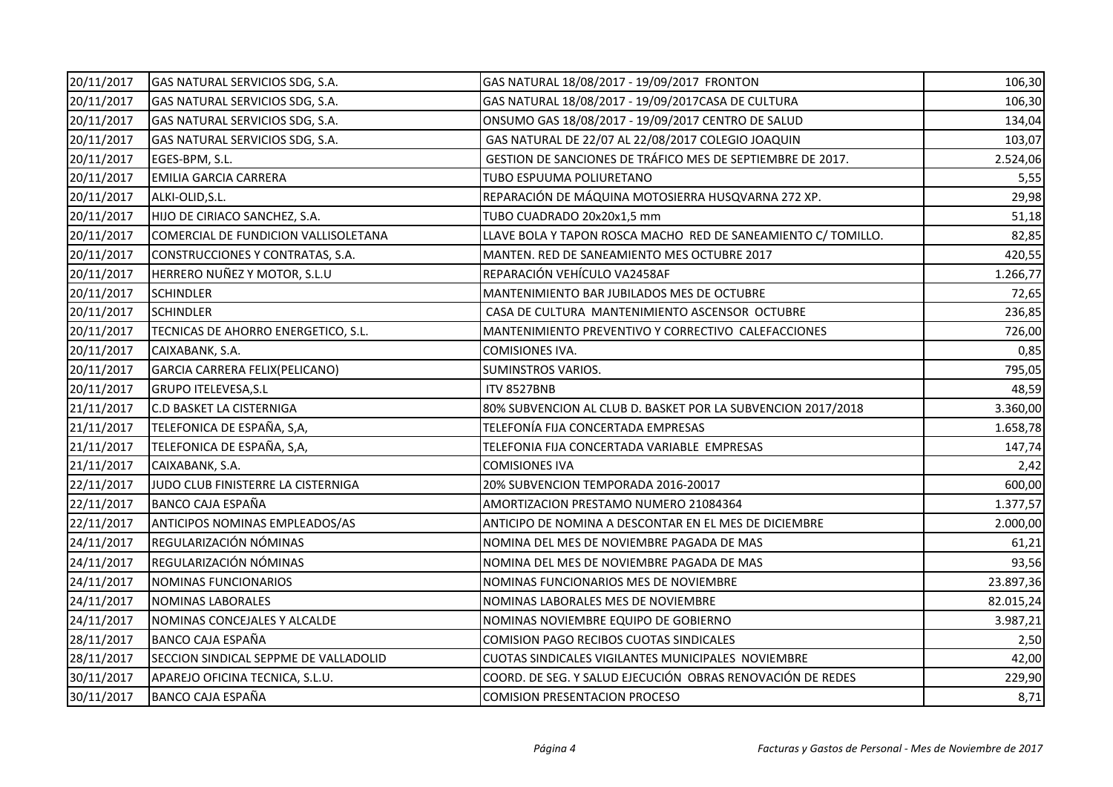| 20/11/2017 | GAS NATURAL SERVICIOS SDG, S.A.       | GAS NATURAL 18/08/2017 - 19/09/2017 FRONTON                   | 106,30    |
|------------|---------------------------------------|---------------------------------------------------------------|-----------|
| 20/11/2017 | GAS NATURAL SERVICIOS SDG, S.A.       | GAS NATURAL 18/08/2017 - 19/09/2017CASA DE CULTURA            | 106,30    |
| 20/11/2017 | GAS NATURAL SERVICIOS SDG, S.A.       | ONSUMO GAS 18/08/2017 - 19/09/2017 CENTRO DE SALUD            | 134,04    |
| 20/11/2017 | GAS NATURAL SERVICIOS SDG, S.A.       | GAS NATURAL DE 22/07 AL 22/08/2017 COLEGIO JOAQUIN            | 103,07    |
| 20/11/2017 | EGES-BPM, S.L.                        | GESTION DE SANCIONES DE TRÁFICO MES DE SEPTIEMBRE DE 2017.    | 2.524,06  |
| 20/11/2017 | <b>EMILIA GARCIA CARRERA</b>          | TUBO ESPUUMA POLIURETANO                                      | 5,55      |
| 20/11/2017 | ALKI-OLID, S.L.                       | REPARACIÓN DE MÁQUINA MOTOSIERRA HUSQVARNA 272 XP.            | 29,98     |
| 20/11/2017 | HIJO DE CIRIACO SANCHEZ, S.A.         | TUBO CUADRADO 20x20x1,5 mm                                    | 51,18     |
| 20/11/2017 | COMERCIAL DE FUNDICION VALLISOLETANA  | LLAVE BOLA Y TAPON ROSCA MACHO RED DE SANEAMIENTO C/ TOMILLO. | 82,85     |
| 20/11/2017 | CONSTRUCCIONES Y CONTRATAS, S.A.      | MANTEN. RED DE SANEAMIENTO MES OCTUBRE 2017                   | 420,55    |
| 20/11/2017 | HERRERO NUÑEZ Y MOTOR, S.L.U          | REPARACIÓN VEHÍCULO VA2458AF                                  | 1.266,77  |
| 20/11/2017 | <b>SCHINDLER</b>                      | MANTENIMIENTO BAR JUBILADOS MES DE OCTUBRE                    | 72,65     |
| 20/11/2017 | <b>SCHINDLER</b>                      | CASA DE CULTURA MANTENIMIENTO ASCENSOR OCTUBRE                | 236,85    |
| 20/11/2017 | TECNICAS DE AHORRO ENERGETICO, S.L.   | MANTENIMIENTO PREVENTIVO Y CORRECTIVO CALEFACCIONES           | 726,00    |
| 20/11/2017 | CAIXABANK, S.A.                       | COMISIONES IVA.                                               | 0,85      |
| 20/11/2017 | GARCIA CARRERA FELIX(PELICANO)        | SUMINSTROS VARIOS.                                            | 795,05    |
| 20/11/2017 | <b>GRUPO ITELEVESA, S.L</b>           | <b>ITV 8527BNB</b>                                            | 48,59     |
| 21/11/2017 | <b>C.D BASKET LA CISTERNIGA</b>       | 80% SUBVENCION AL CLUB D. BASKET POR LA SUBVENCION 2017/2018  | 3.360,00  |
| 21/11/2017 | TELEFONICA DE ESPAÑA, S,A,            | TELEFONÍA FIJA CONCERTADA EMPRESAS                            | 1.658,78  |
| 21/11/2017 | TELEFONICA DE ESPAÑA, S,A,            | TELEFONIA FIJA CONCERTADA VARIABLE EMPRESAS                   | 147,74    |
| 21/11/2017 | CAIXABANK, S.A.                       | <b>COMISIONES IVA</b>                                         | 2,42      |
| 22/11/2017 | JUDO CLUB FINISTERRE LA CISTERNIGA    | 20% SUBVENCION TEMPORADA 2016-20017                           | 600,00    |
| 22/11/2017 | <b>BANCO CAJA ESPAÑA</b>              | AMORTIZACION PRESTAMO NUMERO 21084364                         | 1.377,57  |
| 22/11/2017 | ANTICIPOS NOMINAS EMPLEADOS/AS        | ANTICIPO DE NOMINA A DESCONTAR EN EL MES DE DICIEMBRE         | 2.000,00  |
| 24/11/2017 | REGULARIZACIÓN NÓMINAS                | NOMINA DEL MES DE NOVIEMBRE PAGADA DE MAS                     | 61,21     |
| 24/11/2017 | REGULARIZACIÓN NÓMINAS                | NOMINA DEL MES DE NOVIEMBRE PAGADA DE MAS                     | 93,56     |
| 24/11/2017 | NOMINAS FUNCIONARIOS                  | NOMINAS FUNCIONARIOS MES DE NOVIEMBRE                         | 23.897,36 |
| 24/11/2017 | <b>NOMINAS LABORALES</b>              | NOMINAS LABORALES MES DE NOVIEMBRE                            | 82.015,24 |
| 24/11/2017 | NOMINAS CONCEJALES Y ALCALDE          | NOMINAS NOVIEMBRE EQUIPO DE GOBIERNO                          | 3.987,21  |
| 28/11/2017 | <b>BANCO CAJA ESPAÑA</b>              | <b>COMISION PAGO RECIBOS CUOTAS SINDICALES</b>                | 2,50      |
| 28/11/2017 | SECCION SINDICAL SEPPME DE VALLADOLID | CUOTAS SINDICALES VIGILANTES MUNICIPALES NOVIEMBRE            | 42,00     |
| 30/11/2017 | APAREJO OFICINA TECNICA, S.L.U.       | COORD. DE SEG. Y SALUD EJECUCIÓN OBRAS RENOVACIÓN DE REDES    | 229,90    |
| 30/11/2017 | BANCO CAJA ESPAÑA                     | <b>COMISION PRESENTACION PROCESO</b>                          | 8,71      |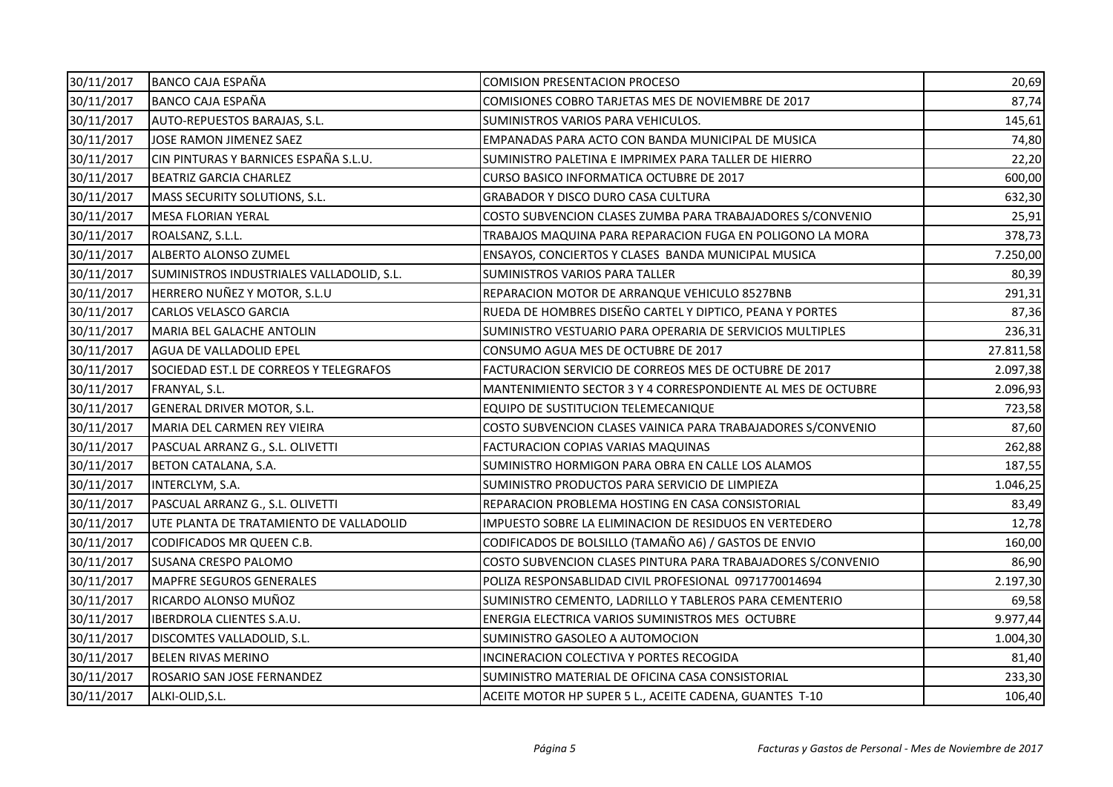| 30/11/2017 | BANCO CAJA ESPAÑA                         | <b>COMISION PRESENTACION PROCESO</b>                         | 20,69     |
|------------|-------------------------------------------|--------------------------------------------------------------|-----------|
| 30/11/2017 | <b>BANCO CAJA ESPAÑA</b>                  | COMISIONES COBRO TARJETAS MES DE NOVIEMBRE DE 2017           | 87,74     |
| 30/11/2017 | AUTO-REPUESTOS BARAJAS, S.L.              | SUMINISTROS VARIOS PARA VEHICULOS.                           | 145,61    |
| 30/11/2017 | JOSE RAMON JIMENEZ SAEZ                   | EMPANADAS PARA ACTO CON BANDA MUNICIPAL DE MUSICA            | 74,80     |
| 30/11/2017 | CIN PINTURAS Y BARNICES ESPAÑA S.L.U.     | SUMINISTRO PALETINA E IMPRIMEX PARA TALLER DE HIERRO         | 22,20     |
| 30/11/2017 | <b>BEATRIZ GARCIA CHARLEZ</b>             | CURSO BASICO INFORMATICA OCTUBRE DE 2017                     | 600,00    |
| 30/11/2017 | MASS SECURITY SOLUTIONS, S.L.             | GRABADOR Y DISCO DURO CASA CULTURA                           | 632,30    |
| 30/11/2017 | <b>MESA FLORIAN YERAL</b>                 | COSTO SUBVENCION CLASES ZUMBA PARA TRABAJADORES S/CONVENIO   | 25,91     |
| 30/11/2017 | ROALSANZ, S.L.L.                          | TRABAJOS MAQUINA PARA REPARACION FUGA EN POLIGONO LA MORA    | 378,73    |
| 30/11/2017 | ALBERTO ALONSO ZUMEL                      | ENSAYOS, CONCIERTOS Y CLASES BANDA MUNICIPAL MUSICA          | 7.250,00  |
| 30/11/2017 | SUMINISTROS INDUSTRIALES VALLADOLID, S.L. | SUMINISTROS VARIOS PARA TALLER                               | 80,39     |
| 30/11/2017 | HERRERO NUÑEZ Y MOTOR, S.L.U              | REPARACION MOTOR DE ARRANQUE VEHICULO 8527BNB                | 291,31    |
| 30/11/2017 | <b>CARLOS VELASCO GARCIA</b>              | RUEDA DE HOMBRES DISEÑO CARTEL Y DIPTICO, PEANA Y PORTES     | 87,36     |
| 30/11/2017 | MARIA BEL GALACHE ANTOLIN                 | SUMINISTRO VESTUARIO PARA OPERARIA DE SERVICIOS MULTIPLES    | 236,31    |
| 30/11/2017 | AGUA DE VALLADOLID EPEL                   | CONSUMO AGUA MES DE OCTUBRE DE 2017                          | 27.811,58 |
| 30/11/2017 | SOCIEDAD EST.L DE CORREOS Y TELEGRAFOS    | FACTURACION SERVICIO DE CORREOS MES DE OCTUBRE DE 2017       | 2.097,38  |
| 30/11/2017 | FRANYAL, S.L.                             | MANTENIMIENTO SECTOR 3 Y 4 CORRESPONDIENTE AL MES DE OCTUBRE | 2.096,93  |
| 30/11/2017 | <b>GENERAL DRIVER MOTOR, S.L.</b>         | EQUIPO DE SUSTITUCION TELEMECANIQUE                          | 723,58    |
| 30/11/2017 | MARIA DEL CARMEN REY VIEIRA               | COSTO SUBVENCION CLASES VAINICA PARA TRABAJADORES S/CONVENIO | 87,60     |
| 30/11/2017 | PASCUAL ARRANZ G., S.L. OLIVETTI          | FACTURACION COPIAS VARIAS MAQUINAS                           | 262,88    |
| 30/11/2017 | BETON CATALANA, S.A.                      | SUMINISTRO HORMIGON PARA OBRA EN CALLE LOS ALAMOS            | 187,55    |
| 30/11/2017 | INTERCLYM, S.A.                           | SUMINISTRO PRODUCTOS PARA SERVICIO DE LIMPIEZA               | 1.046,25  |
| 30/11/2017 | PASCUAL ARRANZ G., S.L. OLIVETTI          | REPARACION PROBLEMA HOSTING EN CASA CONSISTORIAL             | 83,49     |
| 30/11/2017 | UTE PLANTA DE TRATAMIENTO DE VALLADOLID   | IMPUESTO SOBRE LA ELIMINACION DE RESIDUOS EN VERTEDERO       | 12,78     |
| 30/11/2017 | CODIFICADOS MR QUEEN C.B.                 | CODIFICADOS DE BOLSILLO (TAMAÑO A6) / GASTOS DE ENVIO        | 160,00    |
| 30/11/2017 | <b>SUSANA CRESPO PALOMO</b>               | COSTO SUBVENCION CLASES PINTURA PARA TRABAJADORES S/CONVENIO | 86,90     |
| 30/11/2017 | <b>MAPFRE SEGUROS GENERALES</b>           | POLIZA RESPONSABLIDAD CIVIL PROFESIONAL 0971770014694        | 2.197,30  |
| 30/11/2017 | RICARDO ALONSO MUÑOZ                      | SUMINISTRO CEMENTO, LADRILLO Y TABLEROS PARA CEMENTERIO      | 69,58     |
| 30/11/2017 | <b>IBERDROLA CLIENTES S.A.U.</b>          | ENERGIA ELECTRICA VARIOS SUMINISTROS MES OCTUBRE             | 9.977,44  |
| 30/11/2017 | DISCOMTES VALLADOLID, S.L.                | SUMINISTRO GASOLEO A AUTOMOCION                              | 1.004,30  |
| 30/11/2017 | <b>BELEN RIVAS MERINO</b>                 | INCINERACION COLECTIVA Y PORTES RECOGIDA                     | 81,40     |
| 30/11/2017 | ROSARIO SAN JOSE FERNANDEZ                | SUMINISTRO MATERIAL DE OFICINA CASA CONSISTORIAL             | 233,30    |
| 30/11/2017 | ALKI-OLID, S.L.                           | ACEITE MOTOR HP SUPER 5 L., ACEITE CADENA, GUANTES T-10      | 106,40    |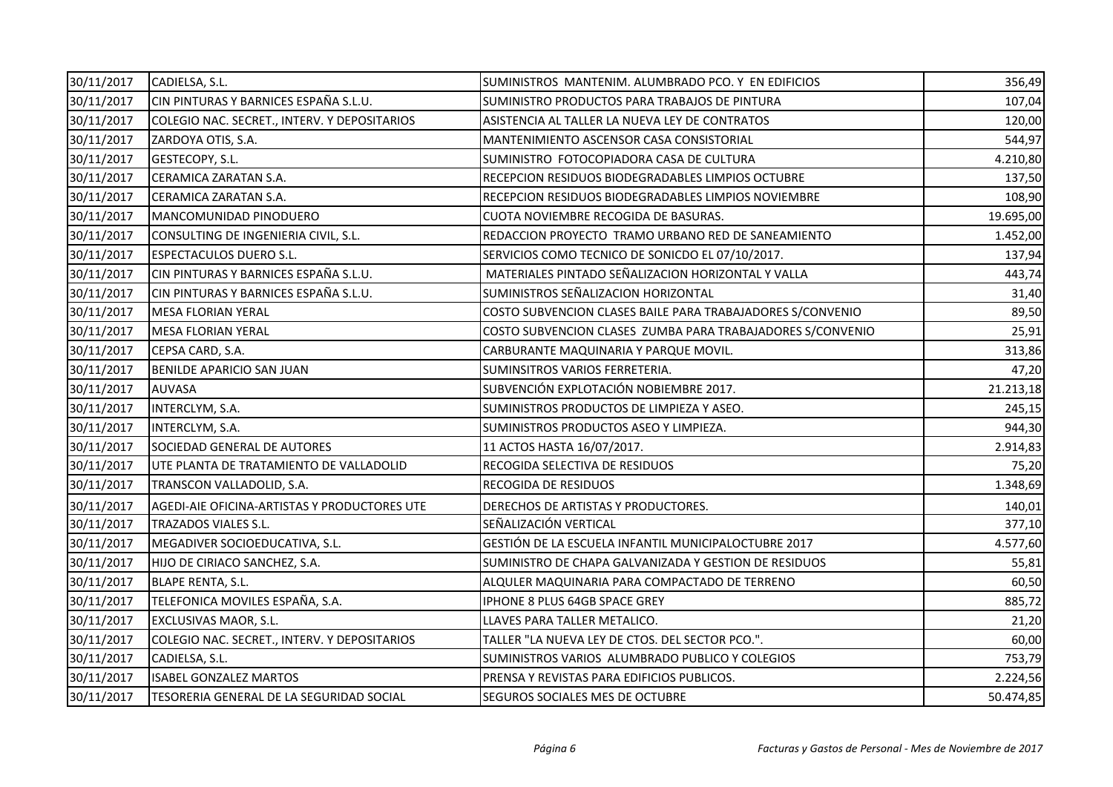| 30/11/2017 | CADIELSA, S.L.                               | SUMINISTROS MANTENIM. ALUMBRADO PCO. Y EN EDIFICIOS        | 356,49    |
|------------|----------------------------------------------|------------------------------------------------------------|-----------|
| 30/11/2017 | CIN PINTURAS Y BARNICES ESPAÑA S.L.U.        | SUMINISTRO PRODUCTOS PARA TRABAJOS DE PINTURA              | 107,04    |
| 30/11/2017 | COLEGIO NAC. SECRET., INTERV. Y DEPOSITARIOS | ASISTENCIA AL TALLER LA NUEVA LEY DE CONTRATOS             | 120,00    |
| 30/11/2017 | ZARDOYA OTIS, S.A.                           | MANTENIMIENTO ASCENSOR CASA CONSISTORIAL                   | 544,97    |
| 30/11/2017 | GESTECOPY, S.L.                              | SUMINISTRO FOTOCOPIADORA CASA DE CULTURA                   | 4.210,80  |
| 30/11/2017 | CERAMICA ZARATAN S.A.                        | RECEPCION RESIDUOS BIODEGRADABLES LIMPIOS OCTUBRE          | 137,50    |
| 30/11/2017 | CERAMICA ZARATAN S.A.                        | RECEPCION RESIDUOS BIODEGRADABLES LIMPIOS NOVIEMBRE        | 108,90    |
| 30/11/2017 | MANCOMUNIDAD PINODUERO                       | CUOTA NOVIEMBRE RECOGIDA DE BASURAS.                       | 19.695,00 |
| 30/11/2017 | CONSULTING DE INGENIERIA CIVIL, S.L.         | REDACCION PROYECTO TRAMO URBANO RED DE SANEAMIENTO         | 1.452,00  |
| 30/11/2017 | <b>ESPECTACULOS DUERO S.L.</b>               | SERVICIOS COMO TECNICO DE SONICDO EL 07/10/2017.           | 137,94    |
| 30/11/2017 | CIN PINTURAS Y BARNICES ESPAÑA S.L.U.        | MATERIALES PINTADO SEÑALIZACION HORIZONTAL Y VALLA         | 443,74    |
| 30/11/2017 | CIN PINTURAS Y BARNICES ESPAÑA S.L.U.        | SUMINISTROS SEÑALIZACION HORIZONTAL                        | 31,40     |
| 30/11/2017 | <b>MESA FLORIAN YERAL</b>                    | COSTO SUBVENCION CLASES BAILE PARA TRABAJADORES S/CONVENIO | 89,50     |
| 30/11/2017 | <b>MESA FLORIAN YERAL</b>                    | COSTO SUBVENCION CLASES ZUMBA PARA TRABAJADORES S/CONVENIO | 25,91     |
| 30/11/2017 | CEPSA CARD, S.A.                             | CARBURANTE MAQUINARIA Y PARQUE MOVIL.                      | 313,86    |
| 30/11/2017 | BENILDE APARICIO SAN JUAN                    | SUMINSITROS VARIOS FERRETERIA.                             | 47,20     |
| 30/11/2017 | AUVASA                                       | SUBVENCIÓN EXPLOTACIÓN NOBIEMBRE 2017.                     | 21.213,18 |
| 30/11/2017 | INTERCLYM, S.A.                              | SUMINISTROS PRODUCTOS DE LIMPIEZA Y ASEO.                  | 245,15    |
| 30/11/2017 | INTERCLYM, S.A.                              | SUMINISTROS PRODUCTOS ASEO Y LIMPIEZA.                     | 944,30    |
| 30/11/2017 | SOCIEDAD GENERAL DE AUTORES                  | 11 ACTOS HASTA 16/07/2017.                                 | 2.914,83  |
| 30/11/2017 | UTE PLANTA DE TRATAMIENTO DE VALLADOLID      | RECOGIDA SELECTIVA DE RESIDUOS                             | 75,20     |
| 30/11/2017 | TRANSCON VALLADOLID, S.A.                    | RECOGIDA DE RESIDUOS                                       | 1.348,69  |
| 30/11/2017 | AGEDI-AIE OFICINA-ARTISTAS Y PRODUCTORES UTE | DERECHOS DE ARTISTAS Y PRODUCTORES.                        | 140,01    |
| 30/11/2017 | TRAZADOS VIALES S.L.                         | SEÑALIZACIÓN VERTICAL                                      | 377,10    |
| 30/11/2017 | MEGADIVER SOCIOEDUCATIVA, S.L.               | GESTIÓN DE LA ESCUELA INFANTIL MUNICIPALOCTUBRE 2017       | 4.577,60  |
| 30/11/2017 | HIJO DE CIRIACO SANCHEZ, S.A.                | SUMINISTRO DE CHAPA GALVANIZADA Y GESTION DE RESIDUOS      | 55,81     |
| 30/11/2017 | <b>BLAPE RENTA, S.L.</b>                     | ALQULER MAQUINARIA PARA COMPACTADO DE TERRENO              | 60,50     |
| 30/11/2017 | TELEFONICA MOVILES ESPAÑA, S.A.              | IPHONE 8 PLUS 64GB SPACE GREY                              | 885,72    |
| 30/11/2017 | EXCLUSIVAS MAOR, S.L.                        | LLAVES PARA TALLER METALICO.                               | 21,20     |
| 30/11/2017 | COLEGIO NAC. SECRET., INTERV. Y DEPOSITARIOS | TALLER "LA NUEVA LEY DE CTOS. DEL SECTOR PCO.".            | 60,00     |
| 30/11/2017 | CADIELSA, S.L.                               | SUMINISTROS VARIOS ALUMBRADO PUBLICO Y COLEGIOS            | 753,79    |
| 30/11/2017 | <b>ISABEL GONZALEZ MARTOS</b>                | PRENSA Y REVISTAS PARA EDIFICIOS PUBLICOS.                 | 2.224,56  |
| 30/11/2017 | TESORERIA GENERAL DE LA SEGURIDAD SOCIAL     | SEGUROS SOCIALES MES DE OCTUBRE                            | 50.474,85 |